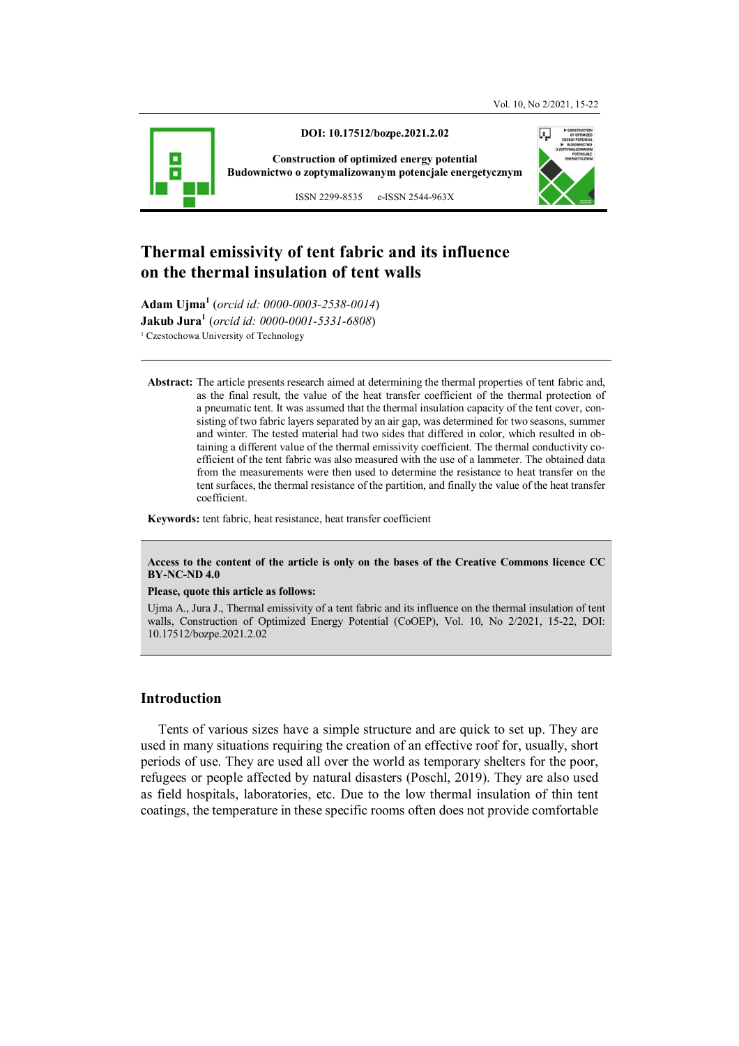

**DOI: 10.17512/bozpe.2021.2.02** 

**Construction of optimized energy potential Budownictwo o zoptymalizowanym potencjale energetycznym**

ISSN 2299-8535 e-ISSN 2544-963X



# **Thermal emissivity of tent fabric and its influence on the thermal insulation of tent walls**

**Adam Ujma<sup>1</sup>** (*orcid id: 0000-0003-2538-0014*) **Jakub Jura<sup>1</sup>** (*orcid id: 0000-0001-5331-6808*) <sup>1</sup> Czestochowa University of Technology

**Abstract:** The article presents research aimed at determining the thermal properties of tent fabric and, as the final result, the value of the heat transfer coefficient of the thermal protection of a pneumatic tent. It was assumed that the thermal insulation capacity of the tent cover, consisting of two fabric layers separated by an air gap, was determined for two seasons, summer and winter. The tested material had two sides that differed in color, which resulted in obtaining a different value of the thermal emissivity coefficient. The thermal conductivity coefficient of the tent fabric was also measured with the use of a lammeter. The obtained data from the measurements were then used to determine the resistance to heat transfer on the tent surfaces, the thermal resistance of the partition, and finally the value of the heat transfer coefficient.

**Keywords:** tent fabric, heat resistance, heat transfer coefficient

#### **Access to the content of the article is only on the bases of the Creative Commons licence CC BY-NC-ND 4.0**

#### **Please, quote this article as follows:**

Ujma A., Jura J., Thermal emissivity of a tent fabric and its influence on the thermal insulation of tent walls, Construction of Optimized Energy Potential (CoOEP), Vol. 10, No 2/2021, 15-22, DOI: 10.17512/bozpe.2021.2.02

# **Introduction**

Tents of various sizes have a simple structure and are quick to set up. They are used in many situations requiring the creation of an effective roof for, usually, short periods of use. They are used all over the world as temporary shelters for the poor, refugees or people affected by natural disasters (Poschl, 2019). They are also used as field hospitals, laboratories, etc. Due to the low thermal insulation of thin tent coatings, the temperature in these specific rooms often does not provide comfortable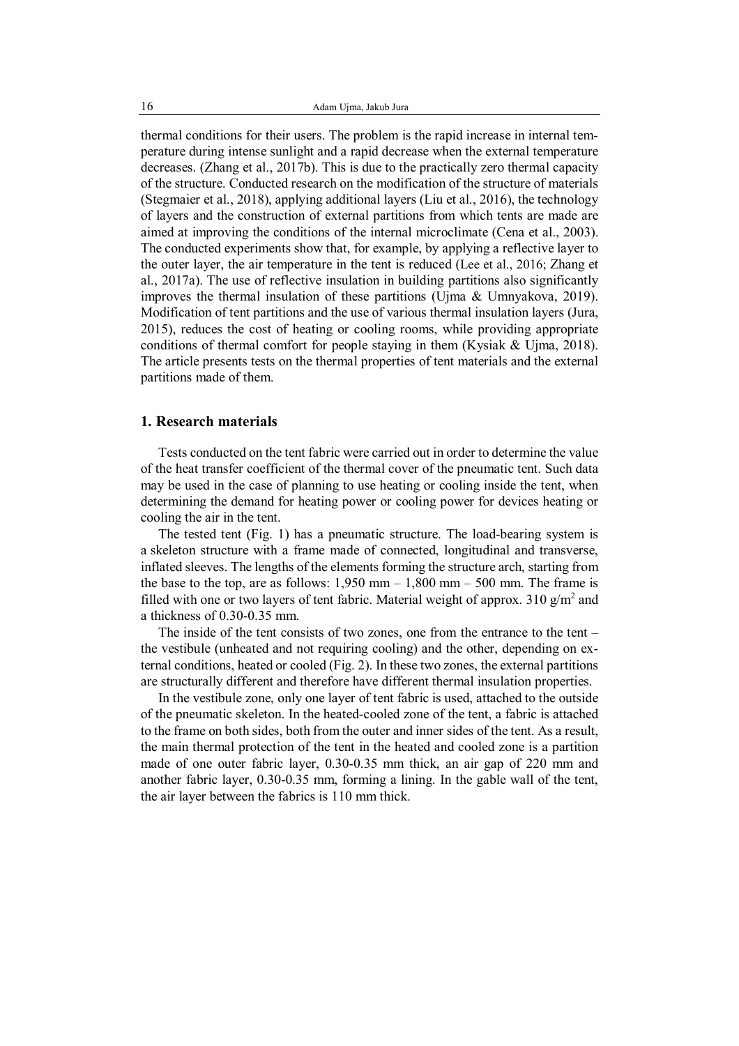thermal conditions for their users. The problem is the rapid increase in internal temperature during intense sunlight and a rapid decrease when the external temperature decreases. (Zhang et al., 2017b). This is due to the practically zero thermal capacity of the structure. Conducted research on the modification of the structure of materials (Stegmaier et al., 2018), applying additional layers (Liu et al., 2016), the technology of layers and the construction of external partitions from which tents are made are aimed at improving the conditions of the internal microclimate (Cena et al., 2003). The conducted experiments show that, for example, by applying a reflective layer to the outer layer, the air temperature in the tent is reduced (Lee et al., 2016; Zhang et al., 2017a). The use of reflective insulation in building partitions also significantly improves the thermal insulation of these partitions (Ujma & Umnyakova, 2019). Modification of tent partitions and the use of various thermal insulation layers (Jura, 2015), reduces the cost of heating or cooling rooms, while providing appropriate conditions of thermal comfort for people staying in them (Kysiak & Ujma, 2018). The article presents tests on the thermal properties of tent materials and the external partitions made of them.

### **1. Research materials**

Tests conducted on the tent fabric were carried out in order to determine the value of the heat transfer coefficient of the thermal cover of the pneumatic tent. Such data may be used in the case of planning to use heating or cooling inside the tent, when determining the demand for heating power or cooling power for devices heating or cooling the air in the tent.

The tested tent (Fig. 1) has a pneumatic structure. The load-bearing system is a skeleton structure with a frame made of connected, longitudinal and transverse, inflated sleeves. The lengths of the elements forming the structure arch, starting from the base to the top, are as follows:  $1,950$  mm  $- 1,800$  mm  $- 500$  mm. The frame is filled with one or two layers of tent fabric. Material weight of approx. 310  $g/m^2$  and a thickness of 0.30-0.35 mm.

The inside of the tent consists of two zones, one from the entrance to the tent – the vestibule (unheated and not requiring cooling) and the other, depending on external conditions, heated or cooled (Fig. 2). In these two zones, the external partitions are structurally different and therefore have different thermal insulation properties.

In the vestibule zone, only one layer of tent fabric is used, attached to the outside of the pneumatic skeleton. In the heated-cooled zone of the tent, a fabric is attached to the frame on both sides, both from the outer and inner sides of the tent. As a result, the main thermal protection of the tent in the heated and cooled zone is a partition made of one outer fabric layer, 0.30-0.35 mm thick, an air gap of 220 mm and another fabric layer, 0.30-0.35 mm, forming a lining. In the gable wall of the tent, the air layer between the fabrics is 110 mm thick.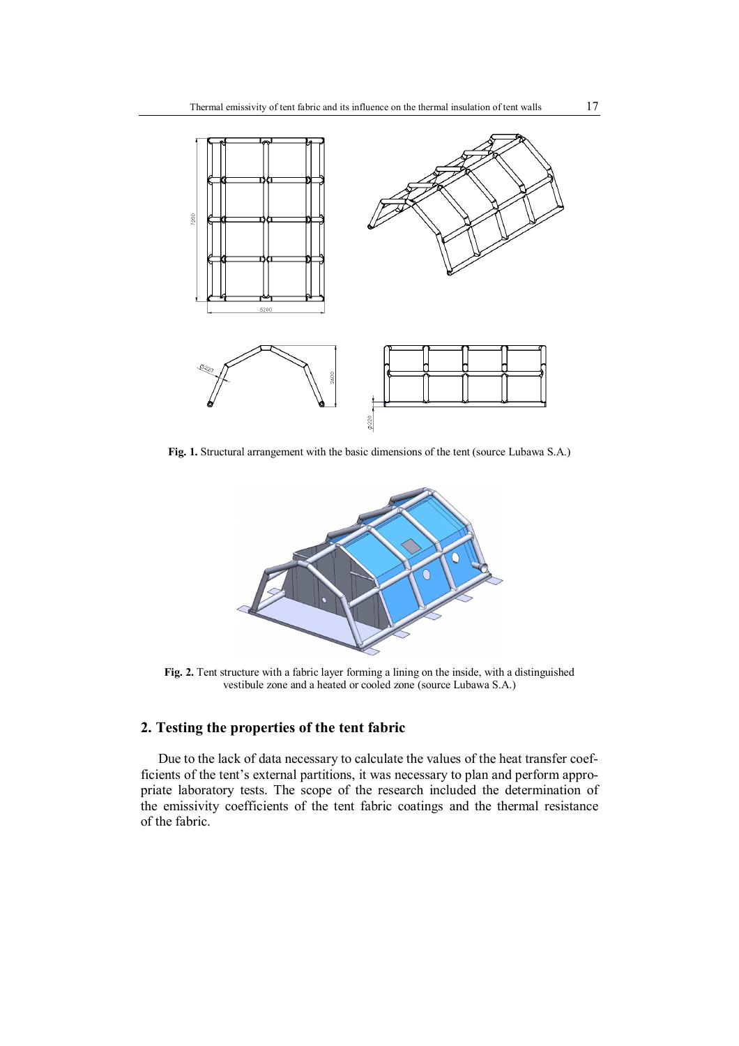

**Fig. 1.** Structural arrangement with the basic dimensions of the tent (source Lubawa S.A.)



**Fig. 2.** Tent structure with a fabric layer forming a lining on the inside, with a distinguished vestibule zone and a heated or cooled zone (source Lubawa S.A.)

# **2. Testing the properties of the tent fabric**

Due to the lack of data necessary to calculate the values of the heat transfer coefficients of the tent's external partitions, it was necessary to plan and perform appropriate laboratory tests. The scope of the research included the determination of the emissivity coefficients of the tent fabric coatings and the thermal resistance of the fabric.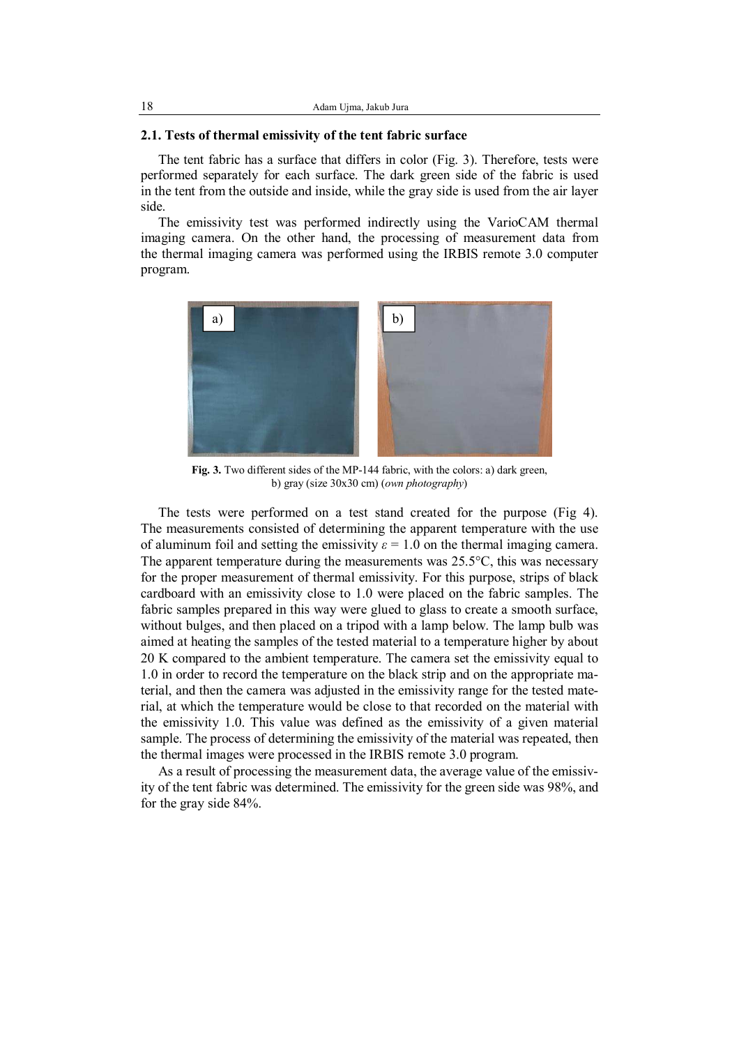### **2.1. Tests of thermal emissivity of the tent fabric surface**

The tent fabric has a surface that differs in color (Fig. 3). Therefore, tests were performed separately for each surface. The dark green side of the fabric is used in the tent from the outside and inside, while the gray side is used from the air layer side.

The emissivity test was performed indirectly using the VarioCAM thermal imaging camera. On the other hand, the processing of measurement data from the thermal imaging camera was performed using the IRBIS remote 3.0 computer program.



Fig. 3. Two different sides of the MP-144 fabric, with the colors: a) dark green, b) gray (size 30x30 cm) (*own photography*)

The tests were performed on a test stand created for the purpose (Fig 4). The measurements consisted of determining the apparent temperature with the use of aluminum foil and setting the emissivity  $\varepsilon = 1.0$  on the thermal imaging camera. The apparent temperature during the measurements was  $25.5^{\circ}$ C, this was necessary for the proper measurement of thermal emissivity. For this purpose, strips of black cardboard with an emissivity close to 1.0 were placed on the fabric samples. The fabric samples prepared in this way were glued to glass to create a smooth surface, without bulges, and then placed on a tripod with a lamp below. The lamp bulb was aimed at heating the samples of the tested material to a temperature higher by about 20 K compared to the ambient temperature. The camera set the emissivity equal to 1.0 in order to record the temperature on the black strip and on the appropriate material, and then the camera was adjusted in the emissivity range for the tested material, at which the temperature would be close to that recorded on the material with the emissivity 1.0. This value was defined as the emissivity of a given material sample. The process of determining the emissivity of the material was repeated, then the thermal images were processed in the IRBIS remote 3.0 program.

As a result of processing the measurement data, the average value of the emissivity of the tent fabric was determined. The emissivity for the green side was 98%, and for the gray side 84%.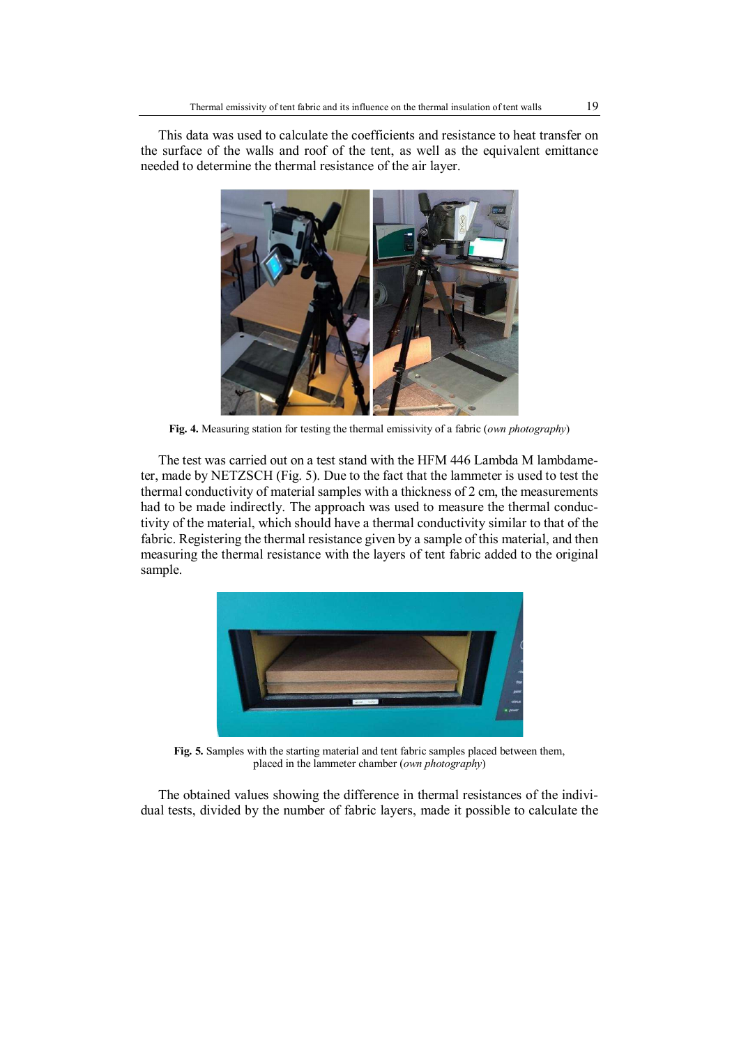This data was used to calculate the coefficients and resistance to heat transfer on the surface of the walls and roof of the tent, as well as the equivalent emittance needed to determine the thermal resistance of the air layer.



**Fig. 4.** Measuring station for testing the thermal emissivity of a fabric (*own photography*)

The test was carried out on a test stand with the HFM 446 Lambda M lambdameter, made by NETZSCH (Fig. 5). Due to the fact that the lammeter is used to test the thermal conductivity of material samples with a thickness of 2 cm, the measurements had to be made indirectly. The approach was used to measure the thermal conductivity of the material, which should have a thermal conductivity similar to that of the fabric. Registering the thermal resistance given by a sample of this material, and then measuring the thermal resistance with the layers of tent fabric added to the original sample.



**Fig. 5.** Samples with the starting material and tent fabric samples placed between them, placed in the lammeter chamber (*own photography*)

The obtained values showing the difference in thermal resistances of the individual tests, divided by the number of fabric layers, made it possible to calculate the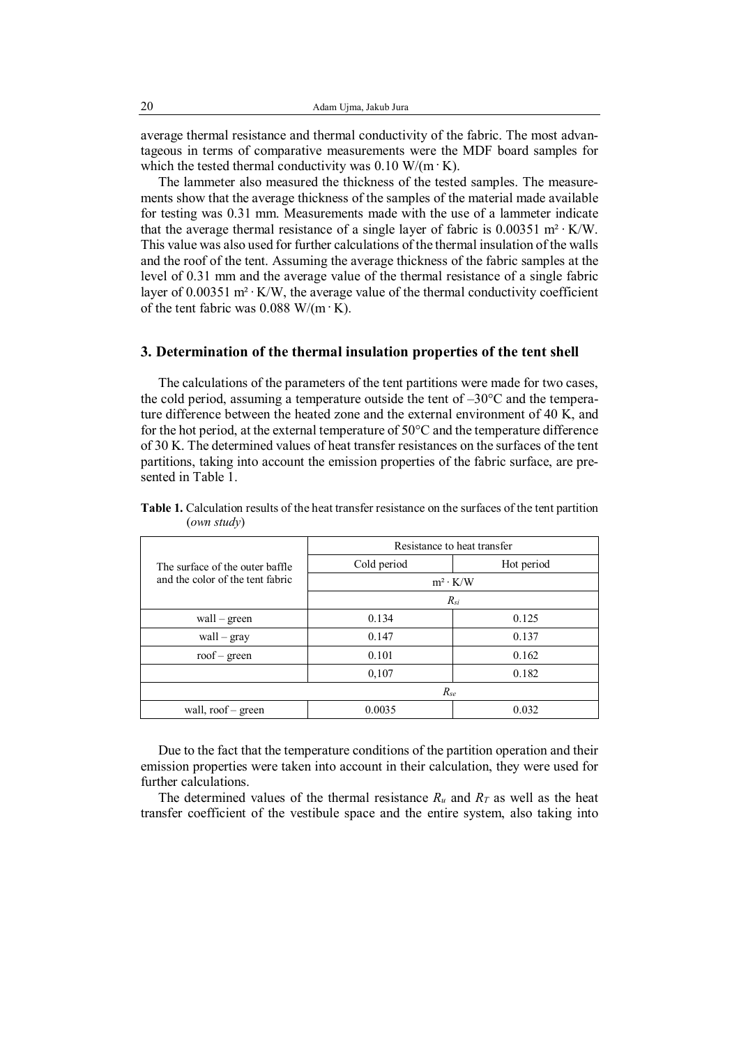average thermal resistance and thermal conductivity of the fabric. The most advantageous in terms of comparative measurements were the MDF board samples for which the tested thermal conductivity was  $0.10 \text{ W/(m} \cdot \text{K)}$ .

The lammeter also measured the thickness of the tested samples. The measurements show that the average thickness of the samples of the material made available for testing was 0.31 mm. Measurements made with the use of a lammeter indicate that the average thermal resistance of a single layer of fabric is  $0.00351 \text{ m}^2 \cdot \text{K/W}$ . This value was also used for further calculations of the thermal insulation of the walls and the roof of the tent. Assuming the average thickness of the fabric samples at the level of 0.31 mm and the average value of the thermal resistance of a single fabric layer of 0.00351 m² ∙ K/W, the average value of the thermal conductivity coefficient of the tent fabric was  $0.088$  W/(m·K).

### **3. Determination of the thermal insulation properties of the tent shell**

The calculations of the parameters of the tent partitions were made for two cases, the cold period, assuming a temperature outside the tent of  $-30^{\circ}$ C and the temperature difference between the heated zone and the external environment of 40 K, and for the hot period, at the external temperature of  $50^{\circ}$ C and the temperature difference of 30 K. The determined values of heat transfer resistances on the surfaces of the tent partitions, taking into account the emission properties of the fabric surface, are presented in Table 1.

|                                                                     | Resistance to heat transfer |            |  |
|---------------------------------------------------------------------|-----------------------------|------------|--|
| The surface of the outer baffle<br>and the color of the tent fabric | Cold period                 | Hot period |  |
|                                                                     | $m^2 \cdot K/W$             |            |  |
|                                                                     | $R_{si}$                    |            |  |
| $wall - green$                                                      | 0.134                       | 0.125      |  |
| wall - gray                                                         | 0.147                       | 0.137      |  |
| $\text{roof}-\text{green}$                                          | 0.101                       | 0.162      |  |
|                                                                     | 0,107                       | 0.182      |  |
|                                                                     | $R_{se}$                    |            |  |
| wall, roof – green                                                  | 0.0035                      | 0.032      |  |

**Table 1.** Calculation results of the heat transfer resistance on the surfaces of the tent partition (*own study*)

Due to the fact that the temperature conditions of the partition operation and their emission properties were taken into account in their calculation, they were used for further calculations.

The determined values of the thermal resistance  $R_u$  and  $R_T$  as well as the heat transfer coefficient of the vestibule space and the entire system, also taking into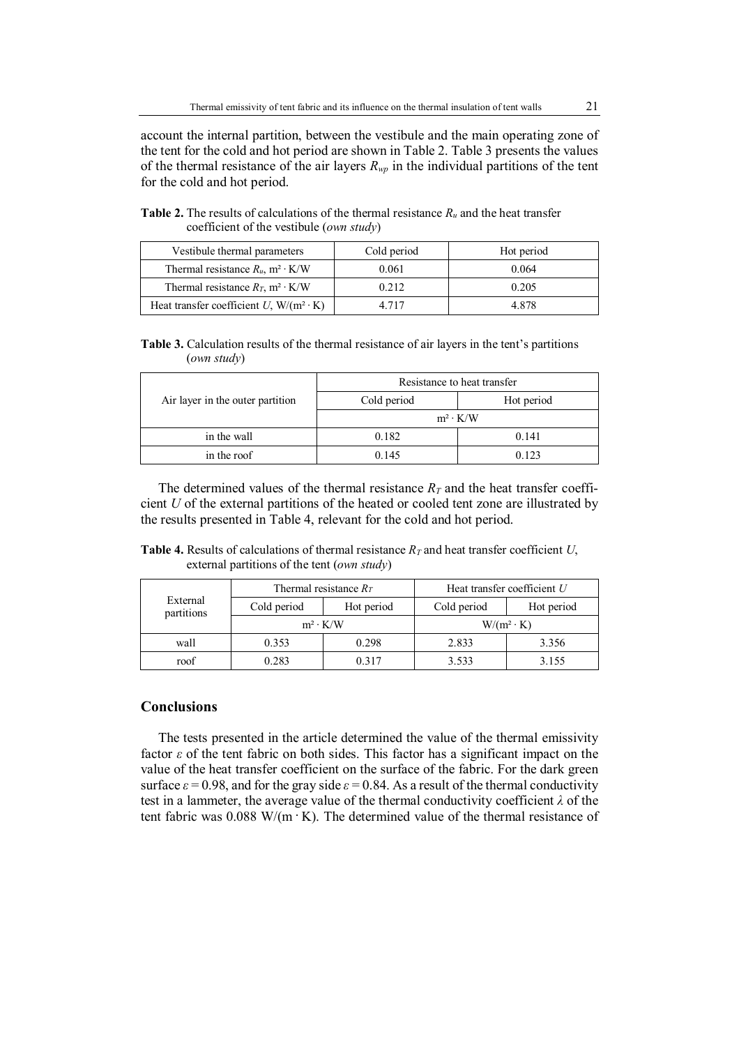account the internal partition, between the vestibule and the main operating zone of the tent for the cold and hot period are shown in Table 2. Table 3 presents the values of the thermal resistance of the air layers  $R_{wp}$  in the individual partitions of the tent for the cold and hot period.

**Table 2.** The results of calculations of the thermal resistance  $R_u$  and the heat transfer coefficient of the vestibule (*own study*)

| Vestibule thermal parameters                    | Cold period<br>Hot period |       |
|-------------------------------------------------|---------------------------|-------|
| Thermal resistance $R_u$ , m <sup>2</sup> · K/W | 0.061                     | 0.064 |
| Thermal resistance $R_T$ , m <sup>2</sup> · K/W | 0.212                     | 0.205 |
| Heat transfer coefficient U, $W/(m^2 \cdot K)$  | 4 717                     | 4.878 |

**Table 3.** Calculation results of the thermal resistance of air layers in the tent's partitions (*own study*)

|                                  | Resistance to heat transfer |            |  |
|----------------------------------|-----------------------------|------------|--|
| Air layer in the outer partition | Cold period                 | Hot period |  |
|                                  | $m^2 \cdot K/W$             |            |  |
| in the wall                      | 0.182                       | 0.141      |  |
| in the roof                      | 0.145                       | 0.123      |  |

The determined values of the thermal resistance  $R<sub>T</sub>$  and the heat transfer coefficient *U* of the external partitions of the heated or cooled tent zone are illustrated by the results presented in Table 4, relevant for the cold and hot period.

**Table 4.** Results of calculations of thermal resistance *RT* and heat transfer coefficient *U*, external partitions of the tent (*own study*)

| External<br>partitions | Thermal resistance $R_T$ |            | Heat transfer coefficient $U$ |            |
|------------------------|--------------------------|------------|-------------------------------|------------|
|                        | Cold period              | Hot period | Cold period                   | Hot period |
|                        | $m^2 \cdot K/W$          |            | $W/(m^2 \cdot K)$             |            |
| wall                   | 0.353                    | 0.298      | 2.833                         | 3.356      |
| roof                   | 0.283                    | 0.317      | 3.533                         | 3.155      |

## **Conclusions**

The tests presented in the article determined the value of the thermal emissivity factor *ε* of the tent fabric on both sides. This factor has a significant impact on the value of the heat transfer coefficient on the surface of the fabric. For the dark green surface  $\varepsilon = 0.98$ , and for the gray side  $\varepsilon = 0.84$ . As a result of the thermal conductivity test in a lammeter, the average value of the thermal conductivity coefficient *λ* of the tent fabric was  $0.088$  W/(m  $\cdot$  K). The determined value of the thermal resistance of